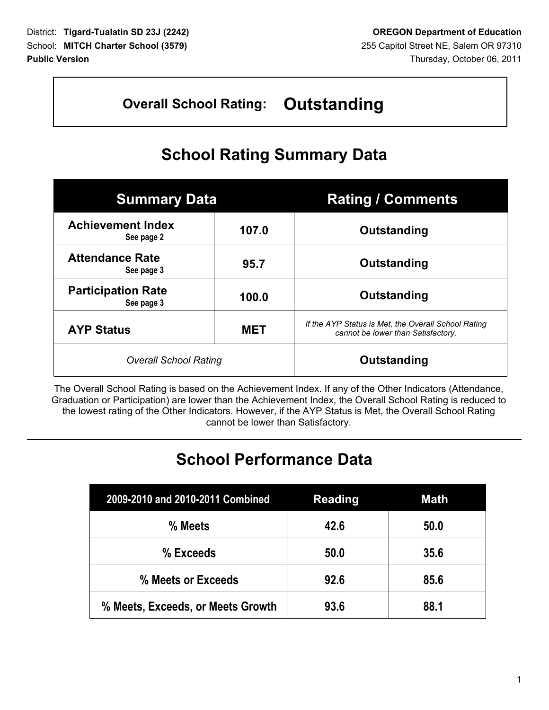## **Overall School Rating: Outstanding**

## **School Rating Summary Data**

| <b>Summary Data</b>                     |            | <b>Rating / Comments</b>                                                                  |  |  |
|-----------------------------------------|------------|-------------------------------------------------------------------------------------------|--|--|
| <b>Achievement Index</b><br>See page 2  | 107.0      | Outstanding                                                                               |  |  |
| <b>Attendance Rate</b><br>See page 3    | 95.7       | Outstanding                                                                               |  |  |
| <b>Participation Rate</b><br>See page 3 | 100.0      | Outstanding                                                                               |  |  |
| <b>AYP Status</b>                       | <b>MET</b> | If the AYP Status is Met, the Overall School Rating<br>cannot be lower than Satisfactory. |  |  |
| <b>Overall School Rating</b>            |            | Outstanding                                                                               |  |  |

The Overall School Rating is based on the Achievement Index. If any of the Other Indicators (Attendance, Graduation or Participation) are lower than the Achievement Index, the Overall School Rating is reduced to the lowest rating of the Other Indicators. However, if the AYP Status is Met, the Overall School Rating cannot be lower than Satisfactory.

## **School Performance Data**

| 2009-2010 and 2010-2011 Combined  | <b>Reading</b> | <b>Math</b> |
|-----------------------------------|----------------|-------------|
| % Meets                           | 42.6           | 50.0        |
| % Exceeds                         | 50.0           | 35.6        |
| % Meets or Exceeds                | 92.6           | 85.6        |
| % Meets, Exceeds, or Meets Growth | 93.6           | 88.1        |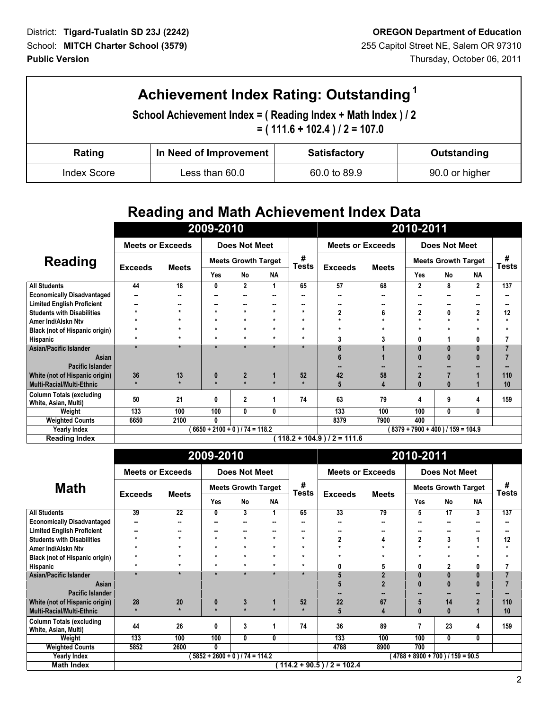Г

| Achievement Index Rating: Outstanding <sup>1</sup>                                            |                                                              |  |  |  |  |  |  |  |  |
|-----------------------------------------------------------------------------------------------|--------------------------------------------------------------|--|--|--|--|--|--|--|--|
| School Achievement Index = (Reading Index + Math Index ) / 2<br>$= (111.6 + 102.4)/2 = 107.0$ |                                                              |  |  |  |  |  |  |  |  |
| Rating                                                                                        | In Need of Improvement<br><b>Satisfactory</b><br>Outstanding |  |  |  |  |  |  |  |  |
| <b>Index Score</b>                                                                            | Less than 60.0<br>60.0 to 89.9<br>90.0 or higher             |  |  |  |  |  |  |  |  |

## **Reading and Math Achievement Index Data**

|                                                         | 2009-2010                     |                                  |                                       |                      |                   | 2010-2011      |                         |                            |                |                      |              |         |
|---------------------------------------------------------|-------------------------------|----------------------------------|---------------------------------------|----------------------|-------------------|----------------|-------------------------|----------------------------|----------------|----------------------|--------------|---------|
|                                                         | <b>Meets or Exceeds</b>       |                                  |                                       | <b>Does Not Meet</b> |                   |                | <b>Meets or Exceeds</b> |                            |                | <b>Does Not Meet</b> |              |         |
| Reading                                                 |                               |                                  | <b>Meets Growth Target</b>            |                      | #<br><b>Tests</b> | <b>Exceeds</b> | <b>Meets</b>            | <b>Meets Growth Target</b> |                | #<br><b>Tests</b>    |              |         |
|                                                         | <b>Exceeds</b>                | <b>Meets</b>                     | Yes                                   | <b>No</b>            | <b>NA</b>         |                |                         |                            | Yes            | No                   | <b>NA</b>    |         |
| <b>All Students</b>                                     | 44                            | 18                               | 0                                     | $\overline{2}$       |                   | 65             | 57                      | 68                         | $\overline{2}$ | 8                    | $\mathbf{2}$ | 137     |
| <b>Economically Disadvantaged</b>                       | --                            |                                  | н.                                    |                      |                   |                | --                      |                            |                |                      | --           | --      |
| <b>Limited English Proficient</b>                       |                               |                                  | --                                    |                      |                   |                |                         |                            | --             |                      |              | ۰.      |
| <b>Students with Disabilities</b>                       |                               | $\star$                          | $\star$                               | $\star$              | $\star$           |                | 2                       |                            | 2              | 0                    | 2            | 12      |
| Amer Ind/Alskn Ntv                                      |                               | $\star$                          | $\star$                               | $\star$              | $\star$           | ÷              |                         |                            | $\star$        |                      | $\star$      | $\star$ |
| Black (not of Hispanic origin)                          | $\star$                       | $\star$                          | $\star$                               | $\star$              | $\star$           | ÷              |                         |                            | ÷              |                      | $\star$      | $\star$ |
| Hispanic                                                | $\star$                       | $\star$                          | $\star$                               | $\star$              | $\star$           | ÷              | 3                       |                            |                |                      | 0            | 7       |
| Asian/Pacific Islander                                  | $\star$                       | $\star$                          |                                       | $\star$              | $\star$           |                | ĥ                       |                            |                | O                    | $\mathbf{0}$ | 7       |
| Asian                                                   |                               |                                  |                                       |                      |                   |                |                         |                            |                | $\mathbf{0}$         | $\bf{0}$     |         |
| Pacific Islander                                        |                               |                                  |                                       |                      |                   |                |                         |                            |                |                      |              |         |
| White (not of Hispanic origin)                          | 36                            | 13                               | $\bf{0}$                              | $\overline{2}$       |                   | 52             | 42                      | 58                         | $\overline{2}$ |                      |              | 110     |
| <b>Multi-Racial/Multi-Ethnic</b>                        | $\star$                       |                                  | $\star$                               |                      |                   |                | 5                       |                            | $\bf{0}$       | 0                    |              | 10      |
| <b>Column Totals (excluding</b><br>White, Asian, Multi) | 50                            | 21                               | 0                                     | 2                    |                   | 74             | 63                      | 79                         | 4              | 9                    | 4            | 159     |
| Weight                                                  | 133                           | 100                              | 100                                   | 0                    | 0                 |                | 133                     | 100                        | 100            | 0                    | 0            |         |
| <b>Weighted Counts</b>                                  | 6650                          | 2100                             | 0                                     |                      |                   |                | 8379                    | 7900                       | 400            |                      |              |         |
| <b>Yearly Index</b>                                     |                               | $6650 + 2100 + 0$ ) / 74 = 118.2 | $8379 + 7900 + 400$ ) / $159 = 104.9$ |                      |                   |                |                         |                            |                |                      |              |         |
| <b>Reading Index</b>                                    | $118.2 + 104.9$ ) / 2 = 111.6 |                                  |                                       |                      |                   |                |                         |                            |                |                      |              |         |

|                                                         | 2009-2010                  |                                  |                                   |                      |           |            | 2010-2011               |              |                            |                 |                         |            |
|---------------------------------------------------------|----------------------------|----------------------------------|-----------------------------------|----------------------|-----------|------------|-------------------------|--------------|----------------------------|-----------------|-------------------------|------------|
|                                                         | <b>Meets or Exceeds</b>    |                                  |                                   | <b>Does Not Meet</b> |           |            | <b>Meets or Exceeds</b> |              |                            | Does Not Meet   |                         |            |
| <b>Math</b>                                             |                            |                                  | <b>Meets Growth Target</b>        |                      |           | #<br>Tests |                         |              | <b>Meets Growth Target</b> |                 |                         | #<br>Tests |
|                                                         | <b>Exceeds</b>             | <b>Meets</b>                     | Yes                               | No                   | <b>NA</b> |            | <b>Exceeds</b>          | <b>Meets</b> | Yes                        | <b>No</b>       | <b>NA</b>               |            |
| <b>All Students</b>                                     | 39                         | $\overline{22}$                  | 0                                 | 3                    |           | 65         | $\overline{33}$         | 79           | 5                          | $\overline{17}$ | $\overline{\mathbf{3}}$ | 137        |
| <b>Economically Disadvantaged</b>                       | $\sim$                     | --                               | ۰.                                |                      | н.        |            | $\sim$                  |              | н.                         | --              |                         |            |
| <b>Limited English Proficient</b>                       |                            |                                  | --                                | --                   | --        | --         | --                      |              | --                         |                 |                         | --         |
| <b>Students with Disabilities</b>                       |                            | $\star$                          | $\star$                           | $\star$              | $\star$   | $\star$    | $\overline{2}$          |              | $\mathbf{2}$               | 3               | 1                       | 12         |
| Amer Ind/Alskn Ntv                                      | $\star$                    | $\star$                          | $\ast$                            | $\star$              | $\star$   | $\star$    |                         |              | $\star$                    | $\star$         | $\star$                 | $\star$    |
| <b>Black (not of Hispanic origin)</b>                   | $\star$                    | $\star$                          | $\star$                           | $\star$              | $\star$   | $\star$    |                         |              | $\star$                    |                 | ÷                       | $\star$    |
| Hispanic                                                | $\star$                    | ÷                                | $\ast$                            | $\star$              | $\star$   | $\star$    | 0                       | 5            | 0                          | 2               | 0                       | 7          |
| Asian/Pacific Islander                                  | ÷                          | $\mathbf{r}$                     | $\star$                           |                      | $\star$   |            |                         |              | $\bf{0}$                   | $\bf{0}$        | $\bf{0}$                | 7          |
| Asian                                                   |                            |                                  |                                   |                      |           |            |                         |              | $\bf{0}$                   | $\mathbf{0}$    | $\bf{0}$                |            |
| Pacific Islander                                        |                            |                                  |                                   |                      |           |            |                         |              |                            |                 |                         |            |
| White (not of Hispanic origin)                          | 28                         | 20                               | 0                                 | 3                    | 1         | 52         | 22                      | 67           | 5                          | 14              | $\overline{2}$          | 110        |
| <b>Multi-Racial/Multi-Ethnic</b>                        | $\star$                    |                                  | $\star$                           |                      | $\star$   |            | 5                       | 4            | $\mathbf{0}$               | $\bf{0}$        |                         | 10         |
| <b>Column Totals (excluding</b><br>White, Asian, Multi) | 44                         | 26                               | 0                                 | 3                    |           | 74         | 36                      | 89           |                            | 23              | 4                       | 159        |
| Weight                                                  | 133                        | 100                              | 100                               | 0                    | 0         |            | 133                     | 100          | 100                        | $\bf{0}$        | 0                       |            |
| <b>Weighted Counts</b>                                  | 5852                       | 2600                             | 0                                 |                      |           |            | 4788                    | 8900         | 700                        |                 |                         |            |
| <b>Yearly Index</b>                                     |                            | $5852 + 2600 + 0$ ) / 74 = 114.2 | (4788 + 8900 + 700 ) / 159 = 90.5 |                      |           |            |                         |              |                            |                 |                         |            |
| <b>Math Index</b>                                       | $(114.2 + 90.5)/2 = 102.4$ |                                  |                                   |                      |           |            |                         |              |                            |                 |                         |            |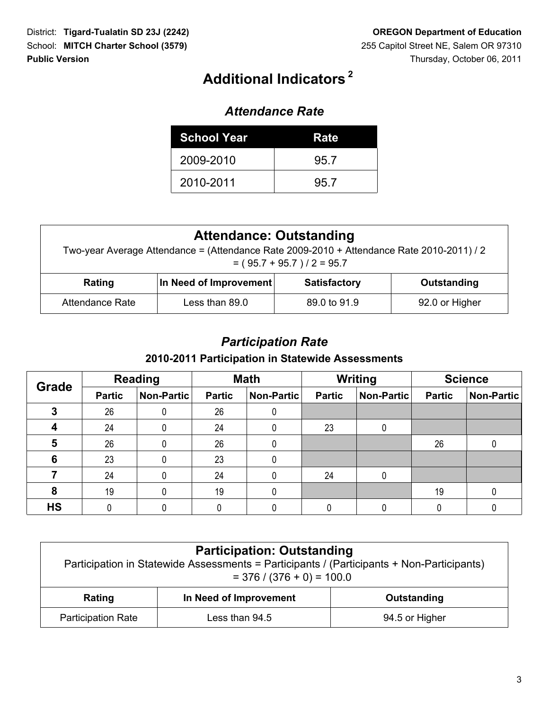# **<sup>2</sup> Additional Indicators**

#### *Attendance Rate*

| <b>School Year</b> | Rate |
|--------------------|------|
| 2009-2010          | 95.7 |
| 2010-2011          | 95.7 |

| <b>Attendance: Outstanding</b><br>Two-year Average Attendance = (Attendance Rate 2009-2010 + Attendance Rate 2010-2011) / 2<br>$= (95.7 + 95.7)/2 = 95.7$ |                                                              |  |  |  |  |  |  |  |
|-----------------------------------------------------------------------------------------------------------------------------------------------------------|--------------------------------------------------------------|--|--|--|--|--|--|--|
| Rating                                                                                                                                                    | In Need of Improvement<br><b>Satisfactory</b><br>Outstanding |  |  |  |  |  |  |  |
| Attendance Rate                                                                                                                                           | Less than 89.0<br>89.0 to 91.9<br>92.0 or Higher             |  |  |  |  |  |  |  |

#### *Participation Rate*

#### **2010-2011 Participation in Statewide Assessments**

| <b>Grade</b> |               | <b>Reading</b> |               | <b>Math</b> | <b>Writing</b> |            | <b>Science</b> |            |  |
|--------------|---------------|----------------|---------------|-------------|----------------|------------|----------------|------------|--|
|              | <b>Partic</b> | Non-Partic     | <b>Partic</b> | Non-Partic  | <b>Partic</b>  | Non-Partic | <b>Partic</b>  | Non-Partic |  |
| 3            | 26            | 0              | 26            | 0           |                |            |                |            |  |
|              | 24            | 0              | 24            | 0           | 23             |            |                |            |  |
| 5            | 26            | 0              | 26            | 0           |                |            | 26             |            |  |
| 6            | 23            | 0              | 23            | 0           |                |            |                |            |  |
|              | 24            | 0              | 24            | 0           | 24             |            |                |            |  |
| 8            | 19            | 0              | 19            | 0           |                |            | 19             |            |  |
| <b>HS</b>    |               |                |               |             |                |            |                |            |  |

| <b>Participation: Outstanding</b><br>Participation in Statewide Assessments = Participants / (Participants + Non-Participants)<br>$=$ 376 / (376 + 0) = 100.0 |                                       |  |  |  |  |  |  |
|---------------------------------------------------------------------------------------------------------------------------------------------------------------|---------------------------------------|--|--|--|--|--|--|
| Rating                                                                                                                                                        | In Need of Improvement<br>Outstanding |  |  |  |  |  |  |
| <b>Participation Rate</b><br>Less than 94.5<br>94.5 or Higher                                                                                                 |                                       |  |  |  |  |  |  |